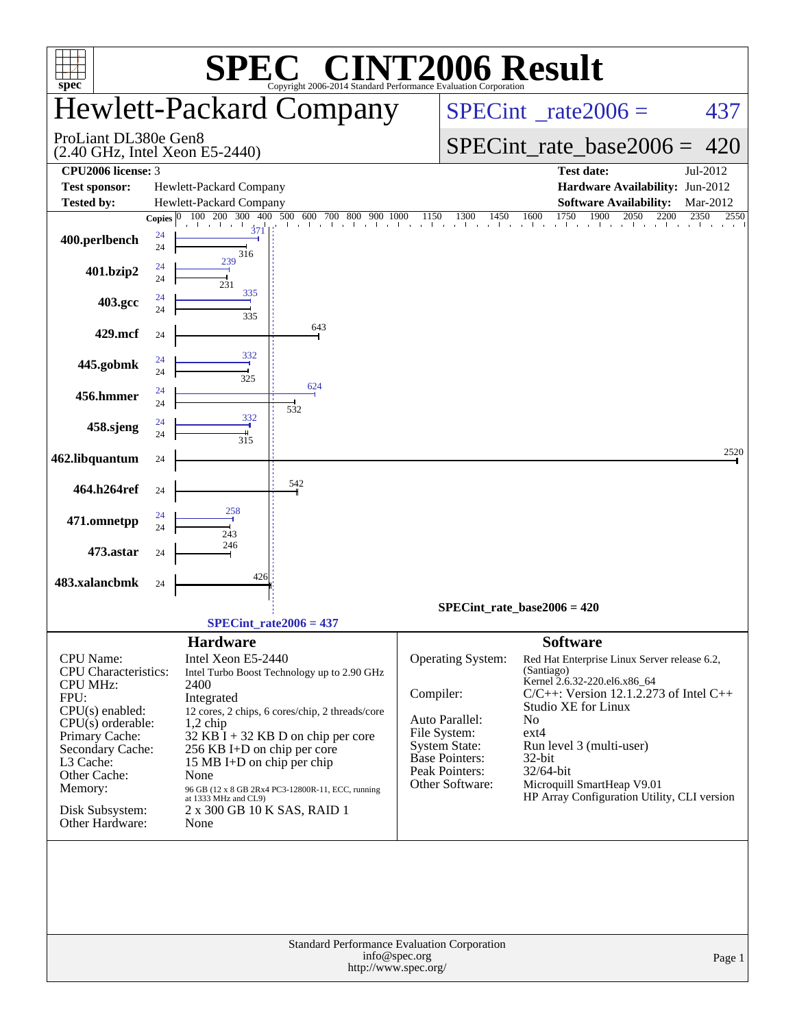| spec <sup>®</sup>                                                                                                                                                                                                                   | $\blacksquare$<br>Copyright 2006-2014 Standard Performance Evaluation Corporation                                                                                                                                                                                                                                                                                                                            | <b>IT2006 Result</b>                                                                                                                                                                                                                                                                                                                                                                                                                                                                               |
|-------------------------------------------------------------------------------------------------------------------------------------------------------------------------------------------------------------------------------------|--------------------------------------------------------------------------------------------------------------------------------------------------------------------------------------------------------------------------------------------------------------------------------------------------------------------------------------------------------------------------------------------------------------|----------------------------------------------------------------------------------------------------------------------------------------------------------------------------------------------------------------------------------------------------------------------------------------------------------------------------------------------------------------------------------------------------------------------------------------------------------------------------------------------------|
|                                                                                                                                                                                                                                     | <b>Hewlett-Packard Company</b>                                                                                                                                                                                                                                                                                                                                                                               | $SPECint^{\circ}$ rate $2006 =$<br>437                                                                                                                                                                                                                                                                                                                                                                                                                                                             |
| ProLiant DL380e Gen8                                                                                                                                                                                                                | (2.40 GHz, Intel Xeon E5-2440)                                                                                                                                                                                                                                                                                                                                                                               | $SPECint_rate\_base2006 =$<br>420                                                                                                                                                                                                                                                                                                                                                                                                                                                                  |
| CPU2006 license: 3<br><b>Test sponsor:</b>                                                                                                                                                                                          | Hewlett-Packard Company                                                                                                                                                                                                                                                                                                                                                                                      | <b>Test date:</b><br>Jul-2012<br><b>Hardware Availability: Jun-2012</b>                                                                                                                                                                                                                                                                                                                                                                                                                            |
| <b>Tested by:</b>                                                                                                                                                                                                                   | Hewlett-Packard Company                                                                                                                                                                                                                                                                                                                                                                                      | <b>Software Availability:</b><br>Mar-2012                                                                                                                                                                                                                                                                                                                                                                                                                                                          |
| 400.perlbench                                                                                                                                                                                                                       | 500<br>100<br>200<br>300<br>400<br>600<br>700<br>800<br>900<br>Copies $ 0 $<br>24<br>24<br>316<br>239                                                                                                                                                                                                                                                                                                        | 1750<br>1900<br>$14\overline{50}$<br>1600<br>2050<br>2200<br>2350<br>1000<br>1150<br>1300<br>2550<br>and a search and a search as                                                                                                                                                                                                                                                                                                                                                                  |
| 401.bzip2                                                                                                                                                                                                                           | 24<br>24<br>231<br>335                                                                                                                                                                                                                                                                                                                                                                                       |                                                                                                                                                                                                                                                                                                                                                                                                                                                                                                    |
| 403.gcc                                                                                                                                                                                                                             | 24<br>24<br>335                                                                                                                                                                                                                                                                                                                                                                                              |                                                                                                                                                                                                                                                                                                                                                                                                                                                                                                    |
| 429.mcf                                                                                                                                                                                                                             | 643<br>24                                                                                                                                                                                                                                                                                                                                                                                                    |                                                                                                                                                                                                                                                                                                                                                                                                                                                                                                    |
| 445.gobmk                                                                                                                                                                                                                           | 332<br>24<br>24<br>325                                                                                                                                                                                                                                                                                                                                                                                       |                                                                                                                                                                                                                                                                                                                                                                                                                                                                                                    |
| 456.hmmer                                                                                                                                                                                                                           | 624<br>24<br>24<br>532                                                                                                                                                                                                                                                                                                                                                                                       |                                                                                                                                                                                                                                                                                                                                                                                                                                                                                                    |
| 458.sjeng                                                                                                                                                                                                                           | 332<br>24<br>24<br>$3\bar{1}5$                                                                                                                                                                                                                                                                                                                                                                               |                                                                                                                                                                                                                                                                                                                                                                                                                                                                                                    |
| 462.libquantum                                                                                                                                                                                                                      | 24                                                                                                                                                                                                                                                                                                                                                                                                           | 2520                                                                                                                                                                                                                                                                                                                                                                                                                                                                                               |
| 464.h264ref                                                                                                                                                                                                                         | 542<br>24                                                                                                                                                                                                                                                                                                                                                                                                    |                                                                                                                                                                                                                                                                                                                                                                                                                                                                                                    |
| 471.omnetpp                                                                                                                                                                                                                         | 258<br>24<br>24                                                                                                                                                                                                                                                                                                                                                                                              |                                                                                                                                                                                                                                                                                                                                                                                                                                                                                                    |
| 473.astar                                                                                                                                                                                                                           | 243<br>246<br>24                                                                                                                                                                                                                                                                                                                                                                                             |                                                                                                                                                                                                                                                                                                                                                                                                                                                                                                    |
| 483.xalancbmk                                                                                                                                                                                                                       | 426<br>24                                                                                                                                                                                                                                                                                                                                                                                                    |                                                                                                                                                                                                                                                                                                                                                                                                                                                                                                    |
|                                                                                                                                                                                                                                     | $SPECint_rate2006 = 437$                                                                                                                                                                                                                                                                                                                                                                                     | $SPECint_rate_base2006 = 420$                                                                                                                                                                                                                                                                                                                                                                                                                                                                      |
|                                                                                                                                                                                                                                     |                                                                                                                                                                                                                                                                                                                                                                                                              |                                                                                                                                                                                                                                                                                                                                                                                                                                                                                                    |
| CPU Name:<br><b>CPU</b> Characteristics:<br><b>CPU MHz:</b><br>FPU:<br>$CPU(s)$ enabled:<br>$CPU(s)$ orderable:<br>Primary Cache:<br>Secondary Cache:<br>L3 Cache:<br>Other Cache:<br>Memory:<br>Disk Subsystem:<br>Other Hardware: | <b>Hardware</b><br>Intel Xeon E5-2440<br>Intel Turbo Boost Technology up to 2.90 GHz<br>2400<br>Integrated<br>12 cores, 2 chips, 6 cores/chip, 2 threads/core<br>$1,2$ chip<br>$32$ KB I + 32 KB D on chip per core<br>256 KB I+D on chip per core<br>15 MB I+D on chip per chip<br>None<br>96 GB (12 x 8 GB 2Rx4 PC3-12800R-11, ECC, running<br>at 1333 MHz and CL9)<br>2 x 300 GB 10 K SAS, RAID 1<br>None | <b>Software</b><br>Operating System:<br>Red Hat Enterprise Linux Server release 6.2,<br>(Santiago)<br>Kernel 2.6.32-220.el6.x86_64<br>Compiler:<br>$C/C++$ : Version 12.1.2.273 of Intel $C++$<br><b>Studio XE for Linux</b><br>Auto Parallel:<br>No<br>File System:<br>$ext{4}$<br><b>System State:</b><br>Run level 3 (multi-user)<br>Base Pointers:<br>$32$ -bit<br>Peak Pointers:<br>32/64-bit<br>Other Software:<br>Microquill SmartHeap V9.01<br>HP Array Configuration Utility, CLI version |
|                                                                                                                                                                                                                                     | <b>Standard Performance Evaluation Corporation</b><br>info@spec.org<br>http://www.spec.org/                                                                                                                                                                                                                                                                                                                  | Page 1                                                                                                                                                                                                                                                                                                                                                                                                                                                                                             |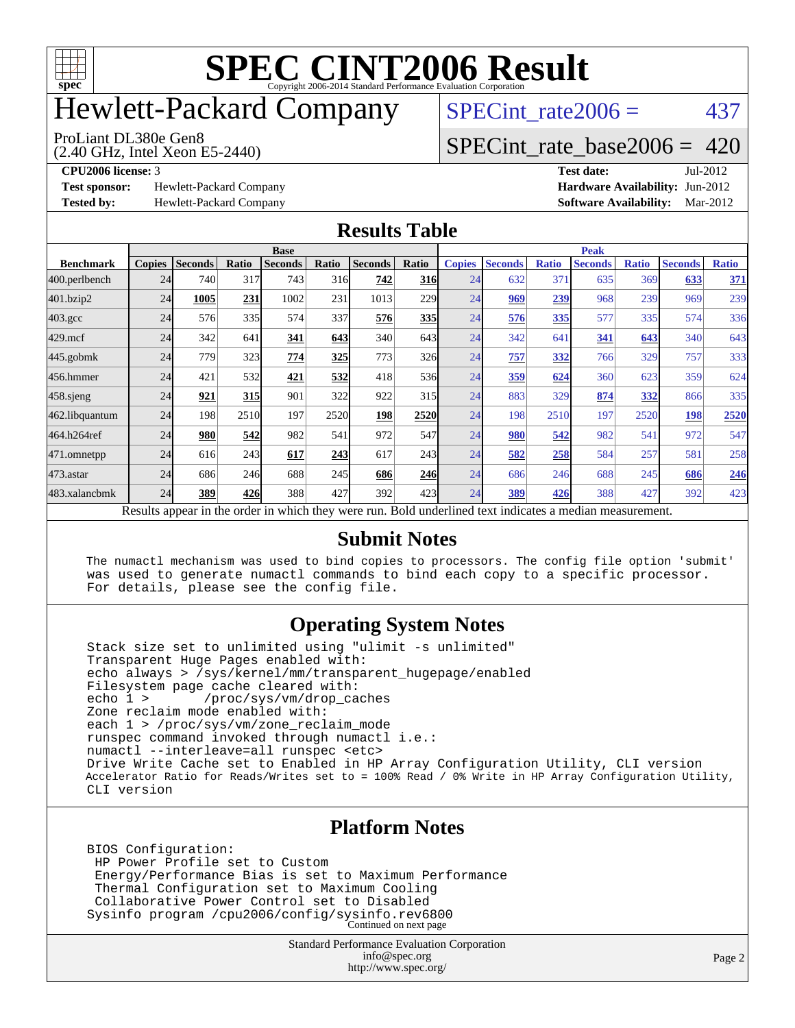

# Hewlett-Packard Company

(2.40 GHz, Intel Xeon E5-2440) ProLiant DL380e Gen8

 $SPECTnt_rate2006 = 437$ 

### [SPECint\\_rate\\_base2006 =](http://www.spec.org/auto/cpu2006/Docs/result-fields.html#SPECintratebase2006) 420

**[Test sponsor:](http://www.spec.org/auto/cpu2006/Docs/result-fields.html#Testsponsor)** Hewlett-Packard Company **[Hardware Availability:](http://www.spec.org/auto/cpu2006/Docs/result-fields.html#HardwareAvailability)** Jun-2012

**[CPU2006 license:](http://www.spec.org/auto/cpu2006/Docs/result-fields.html#CPU2006license)** 3 **[Test date:](http://www.spec.org/auto/cpu2006/Docs/result-fields.html#Testdate)** Jul-2012 **[Tested by:](http://www.spec.org/auto/cpu2006/Docs/result-fields.html#Testedby)** Hewlett-Packard Company **[Software Availability:](http://www.spec.org/auto/cpu2006/Docs/result-fields.html#SoftwareAvailability)** Mar-2012

#### **[Results Table](http://www.spec.org/auto/cpu2006/Docs/result-fields.html#ResultsTable)**

|                    | <b>Base</b>   |                |       |                                                                                                          |       |                |            | <b>Peak</b>   |                |              |                |              |                |              |
|--------------------|---------------|----------------|-------|----------------------------------------------------------------------------------------------------------|-------|----------------|------------|---------------|----------------|--------------|----------------|--------------|----------------|--------------|
| <b>Benchmark</b>   | <b>Copies</b> | <b>Seconds</b> | Ratio | <b>Seconds</b>                                                                                           | Ratio | <b>Seconds</b> | Ratio      | <b>Copies</b> | <b>Seconds</b> | <b>Ratio</b> | <b>Seconds</b> | <b>Ratio</b> | <b>Seconds</b> | <b>Ratio</b> |
| 400.perlbench      | 24            | 740            | 317   | 743                                                                                                      | 316   | 742            | <b>316</b> | 24            | 632            | 371          | 635            | 369          | 633            | 371          |
| 401.bzip2          | 24            | 1005           | 231   | 1002                                                                                                     | 231   | 1013           | 229        | 24            | 969            | 239          | 968            | 239          | 969            | 239          |
| $403.\mathrm{gcc}$ | 24            | 576            | 335   | 574                                                                                                      | 337   | 576            | 335        | 24            | 576            | 335          | 577            | 335          | 574            | 336          |
| $429$ .mcf         | 24            | 342            | 641   | 341                                                                                                      | 643   | 340            | 643        | 24            | 342            | 641          | 341            | 643          | 340            | 643          |
| $445$ .gobmk       | 24            | 779            | 323   | 774                                                                                                      | 325   | 773            | <b>326</b> | 24            | 757            | 332          | 766            | 329          | 757            | 333          |
| 456.hmmer          | 24            | 421            | 532   | 421                                                                                                      | 532   | 418            | 536        | 24            | 359            | 624          | 360            | 623          | 359            | 624          |
| $458$ .sjeng       | 24            | 921            | 315   | 901                                                                                                      | 322   | 922            | 315        | 24            | 883            | 329          | 874            | 332          | 866            | 335          |
| 462.libquantum     | 24            | 198            | 2510  | 197                                                                                                      | 2520  | <u> 198</u>    | 2520       | 24            | 198            | 2510         | 197            | 2520         | 198            | 2520         |
| 464.h264ref        | 24            | 980            | 542   | 982                                                                                                      | 541   | 972            | 547        | 24            | 980            | 542          | 982            | 541          | 972            | 547          |
| 471.omnetpp        | 24            | 616            | 243   | 617                                                                                                      | 243   | 617            | 243        | 24            | 582            | 258          | 584            | 257          | 581            | 258          |
| 473.astar          | 24            | 686            | 246   | 688                                                                                                      | 245   | 686            | 246        | 24            | 686            | 246          | 688            | 245          | 686            | 246          |
| 483.xalancbmk      | 24            | 389            | 426   | 388                                                                                                      | 427   | 392            | 423I       | 24            | 389            | 426          | 388            | 427          | 392            | 423          |
|                    |               |                |       | Results appear in the order in which they were run. Bold underlined text indicates a median measurement. |       |                |            |               |                |              |                |              |                |              |

#### **[Submit Notes](http://www.spec.org/auto/cpu2006/Docs/result-fields.html#SubmitNotes)**

 The numactl mechanism was used to bind copies to processors. The config file option 'submit' was used to generate numactl commands to bind each copy to a specific processor. For details, please see the config file.

#### **[Operating System Notes](http://www.spec.org/auto/cpu2006/Docs/result-fields.html#OperatingSystemNotes)**

 Stack size set to unlimited using "ulimit -s unlimited" Transparent Huge Pages enabled with: echo always > /sys/kernel/mm/transparent\_hugepage/enabled Filesystem page cache cleared with:<br>echo 1 > /proc/sys/vm/drop ca /proc/sys/vm/drop\_caches Zone reclaim mode enabled with: each 1 > /proc/sys/vm/zone\_reclaim\_mode runspec command invoked through numactl i.e.: numactl --interleave=all runspec <etc> Drive Write Cache set to Enabled in HP Array Configuration Utility, CLI version Accelerator Ratio for Reads/Writes set to = 100% Read / 0% Write in HP Array Configuration Utility, CLI version

#### **[Platform Notes](http://www.spec.org/auto/cpu2006/Docs/result-fields.html#PlatformNotes)**

 BIOS Configuration: HP Power Profile set to Custom Energy/Performance Bias is set to Maximum Performance Thermal Configuration set to Maximum Cooling Collaborative Power Control set to Disabled Sysinfo program /cpu2006/config/sysinfo.rev6800 Continued on next page

> Standard Performance Evaluation Corporation [info@spec.org](mailto:info@spec.org) <http://www.spec.org/>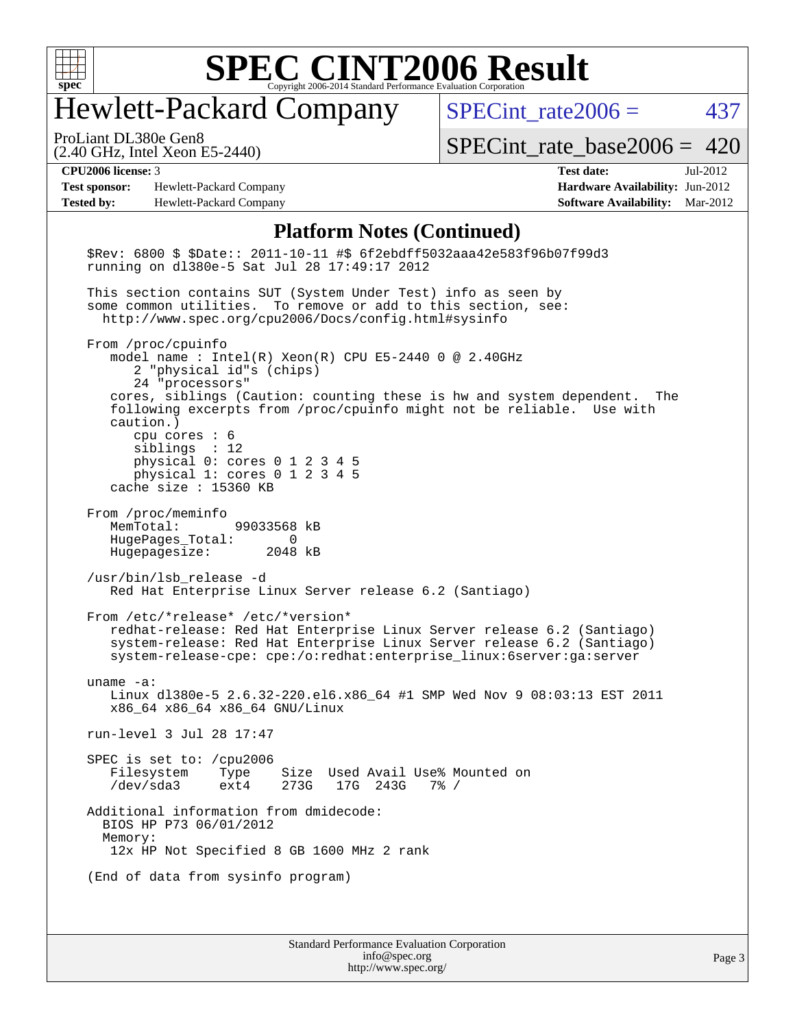

# Hewlett-Packard Company

 $SPECTnt_rate2006 = 437$ 

(2.40 GHz, Intel Xeon E5-2440) ProLiant DL380e Gen8

[SPECint\\_rate\\_base2006 =](http://www.spec.org/auto/cpu2006/Docs/result-fields.html#SPECintratebase2006) 420

**[Test sponsor:](http://www.spec.org/auto/cpu2006/Docs/result-fields.html#Testsponsor)** Hewlett-Packard Company **[Hardware Availability:](http://www.spec.org/auto/cpu2006/Docs/result-fields.html#HardwareAvailability)** Jun-2012 **[Tested by:](http://www.spec.org/auto/cpu2006/Docs/result-fields.html#Testedby)** Hewlett-Packard Company **[Software Availability:](http://www.spec.org/auto/cpu2006/Docs/result-fields.html#SoftwareAvailability)** Mar-2012

**[CPU2006 license:](http://www.spec.org/auto/cpu2006/Docs/result-fields.html#CPU2006license)** 3 **[Test date:](http://www.spec.org/auto/cpu2006/Docs/result-fields.html#Testdate)** Jul-2012

#### **[Platform Notes \(Continued\)](http://www.spec.org/auto/cpu2006/Docs/result-fields.html#PlatformNotes)**

| \$Rev: 6800 \$ \$Date:: 2011-10-11 #\$ 6f2ebdff5032aaa42e583f96b07f99d3<br>running on dl380e-5 Sat Jul 28 17:49:17 2012                                                                                                                                                                                                                                                                                                           |
|-----------------------------------------------------------------------------------------------------------------------------------------------------------------------------------------------------------------------------------------------------------------------------------------------------------------------------------------------------------------------------------------------------------------------------------|
| This section contains SUT (System Under Test) info as seen by<br>some common utilities. To remove or add to this section, see:<br>http://www.spec.org/cpu2006/Docs/config.html#sysinfo                                                                                                                                                                                                                                            |
| From /proc/cpuinfo<br>model name : Intel(R) Xeon(R) CPU E5-2440 0 @ 2.40GHz<br>2 "physical id"s (chips)<br>24 "processors"<br>cores, siblings (Caution: counting these is hw and system dependent.<br>The<br>following excerpts from /proc/cpuinfo might not be reliable. Use with<br>$caution.$ )<br>cpu cores $: 6$<br>siblings : 12<br>physical 0: cores 0 1 2 3 4 5<br>physical 1: cores 0 1 2 3 4 5<br>cache size : 15360 KB |
| From /proc/meminfo<br>MemTotal:<br>99033568 kB<br>HugePages_Total: 0<br>Hugepagesize: 2048 kB                                                                                                                                                                                                                                                                                                                                     |
| /usr/bin/lsb release -d<br>Red Hat Enterprise Linux Server release 6.2 (Santiago)                                                                                                                                                                                                                                                                                                                                                 |
| From /etc/*release* /etc/*version*<br>redhat-release: Red Hat Enterprise Linux Server release 6.2 (Santiago)<br>system-release: Red Hat Enterprise Linux Server release 6.2 (Santiago)<br>system-release-cpe: cpe:/o:redhat:enterprise_linux:6server:ga:server                                                                                                                                                                    |
| uname $-a$ :<br>Linux d1380e-5 2.6.32-220.el6.x86_64 #1 SMP Wed Nov 9 08:03:13 EST 2011<br>x86_64 x86_64 x86_64 GNU/Linux                                                                                                                                                                                                                                                                                                         |
| run-level 3 Jul 28 17:47                                                                                                                                                                                                                                                                                                                                                                                                          |
| SPEC is set to: $/$ cpu2006<br>Filesystem Type Size Used Avail Use% Mounted on<br>/dev/sda3<br>ext4 273G 17G 243G 7% /                                                                                                                                                                                                                                                                                                            |
| Additional information from dmidecode:<br>BIOS HP P73 06/01/2012<br>Memory:<br>12x HP Not Specified 8 GB 1600 MHz 2 rank                                                                                                                                                                                                                                                                                                          |
| (End of data from sysinfo program)                                                                                                                                                                                                                                                                                                                                                                                                |
| <b>Standard Performance Evaluation Corporation</b>                                                                                                                                                                                                                                                                                                                                                                                |

[info@spec.org](mailto:info@spec.org) <http://www.spec.org/>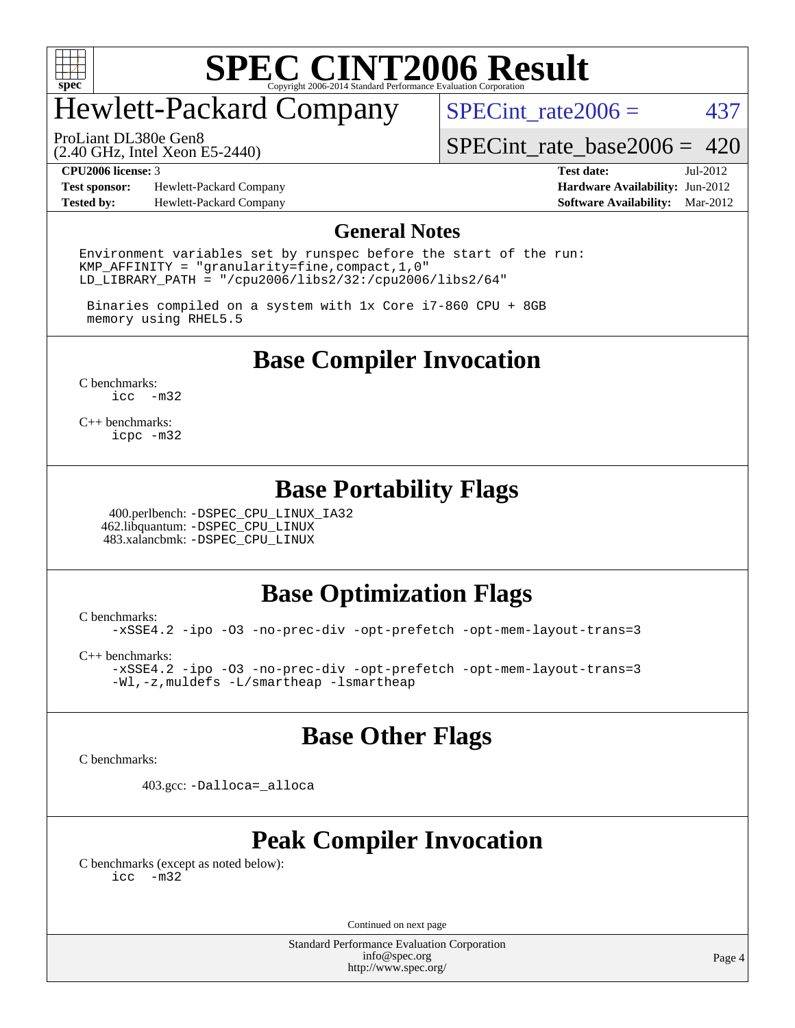

# Hewlett-Packard Company

SPECint rate $2006 = 437$ 

(2.40 GHz, Intel Xeon E5-2440) ProLiant DL380e Gen8

[SPECint\\_rate\\_base2006 =](http://www.spec.org/auto/cpu2006/Docs/result-fields.html#SPECintratebase2006) 420

**[Test sponsor:](http://www.spec.org/auto/cpu2006/Docs/result-fields.html#Testsponsor)** Hewlett-Packard Company **[Hardware Availability:](http://www.spec.org/auto/cpu2006/Docs/result-fields.html#HardwareAvailability)** Jun-2012 **[Tested by:](http://www.spec.org/auto/cpu2006/Docs/result-fields.html#Testedby)** Hewlett-Packard Company **[Software Availability:](http://www.spec.org/auto/cpu2006/Docs/result-fields.html#SoftwareAvailability)** Mar-2012

**[CPU2006 license:](http://www.spec.org/auto/cpu2006/Docs/result-fields.html#CPU2006license)** 3 **[Test date:](http://www.spec.org/auto/cpu2006/Docs/result-fields.html#Testdate)** Jul-2012

#### **[General Notes](http://www.spec.org/auto/cpu2006/Docs/result-fields.html#GeneralNotes)**

Environment variables set by runspec before the start of the run: KMP AFFINITY = "granularity=fine, compact,  $1,0$ " LD\_LIBRARY\_PATH = "/cpu2006/libs2/32:/cpu2006/libs2/64"

 Binaries compiled on a system with 1x Core i7-860 CPU + 8GB memory using RHEL5.5

**[Base Compiler Invocation](http://www.spec.org/auto/cpu2006/Docs/result-fields.html#BaseCompilerInvocation)**

[C benchmarks](http://www.spec.org/auto/cpu2006/Docs/result-fields.html#Cbenchmarks): [icc -m32](http://www.spec.org/cpu2006/results/res2012q3/cpu2006-20120730-23958.flags.html#user_CCbase_intel_icc_5ff4a39e364c98233615fdd38438c6f2)

[C++ benchmarks:](http://www.spec.org/auto/cpu2006/Docs/result-fields.html#CXXbenchmarks) [icpc -m32](http://www.spec.org/cpu2006/results/res2012q3/cpu2006-20120730-23958.flags.html#user_CXXbase_intel_icpc_4e5a5ef1a53fd332b3c49e69c3330699)

#### **[Base Portability Flags](http://www.spec.org/auto/cpu2006/Docs/result-fields.html#BasePortabilityFlags)**

 400.perlbench: [-DSPEC\\_CPU\\_LINUX\\_IA32](http://www.spec.org/cpu2006/results/res2012q3/cpu2006-20120730-23958.flags.html#b400.perlbench_baseCPORTABILITY_DSPEC_CPU_LINUX_IA32) 462.libquantum: [-DSPEC\\_CPU\\_LINUX](http://www.spec.org/cpu2006/results/res2012q3/cpu2006-20120730-23958.flags.html#b462.libquantum_baseCPORTABILITY_DSPEC_CPU_LINUX) 483.xalancbmk: [-DSPEC\\_CPU\\_LINUX](http://www.spec.org/cpu2006/results/res2012q3/cpu2006-20120730-23958.flags.html#b483.xalancbmk_baseCXXPORTABILITY_DSPEC_CPU_LINUX)

#### **[Base Optimization Flags](http://www.spec.org/auto/cpu2006/Docs/result-fields.html#BaseOptimizationFlags)**

[C benchmarks](http://www.spec.org/auto/cpu2006/Docs/result-fields.html#Cbenchmarks):

[-xSSE4.2](http://www.spec.org/cpu2006/results/res2012q3/cpu2006-20120730-23958.flags.html#user_CCbase_f-xSSE42_f91528193cf0b216347adb8b939d4107) [-ipo](http://www.spec.org/cpu2006/results/res2012q3/cpu2006-20120730-23958.flags.html#user_CCbase_f-ipo) [-O3](http://www.spec.org/cpu2006/results/res2012q3/cpu2006-20120730-23958.flags.html#user_CCbase_f-O3) [-no-prec-div](http://www.spec.org/cpu2006/results/res2012q3/cpu2006-20120730-23958.flags.html#user_CCbase_f-no-prec-div) [-opt-prefetch](http://www.spec.org/cpu2006/results/res2012q3/cpu2006-20120730-23958.flags.html#user_CCbase_f-opt-prefetch) [-opt-mem-layout-trans=3](http://www.spec.org/cpu2006/results/res2012q3/cpu2006-20120730-23958.flags.html#user_CCbase_f-opt-mem-layout-trans_a7b82ad4bd7abf52556d4961a2ae94d5)

[C++ benchmarks:](http://www.spec.org/auto/cpu2006/Docs/result-fields.html#CXXbenchmarks)

[-xSSE4.2](http://www.spec.org/cpu2006/results/res2012q3/cpu2006-20120730-23958.flags.html#user_CXXbase_f-xSSE42_f91528193cf0b216347adb8b939d4107) [-ipo](http://www.spec.org/cpu2006/results/res2012q3/cpu2006-20120730-23958.flags.html#user_CXXbase_f-ipo) [-O3](http://www.spec.org/cpu2006/results/res2012q3/cpu2006-20120730-23958.flags.html#user_CXXbase_f-O3) [-no-prec-div](http://www.spec.org/cpu2006/results/res2012q3/cpu2006-20120730-23958.flags.html#user_CXXbase_f-no-prec-div) [-opt-prefetch](http://www.spec.org/cpu2006/results/res2012q3/cpu2006-20120730-23958.flags.html#user_CXXbase_f-opt-prefetch) [-opt-mem-layout-trans=3](http://www.spec.org/cpu2006/results/res2012q3/cpu2006-20120730-23958.flags.html#user_CXXbase_f-opt-mem-layout-trans_a7b82ad4bd7abf52556d4961a2ae94d5) [-Wl,-z,muldefs](http://www.spec.org/cpu2006/results/res2012q3/cpu2006-20120730-23958.flags.html#user_CXXbase_link_force_multiple1_74079c344b956b9658436fd1b6dd3a8a) [-L/smartheap -lsmartheap](http://www.spec.org/cpu2006/results/res2012q3/cpu2006-20120730-23958.flags.html#user_CXXbase_SmartHeap_7c9e394a5779e1a7fec7c221e123830c)

#### **[Base Other Flags](http://www.spec.org/auto/cpu2006/Docs/result-fields.html#BaseOtherFlags)**

[C benchmarks](http://www.spec.org/auto/cpu2006/Docs/result-fields.html#Cbenchmarks):

403.gcc: [-Dalloca=\\_alloca](http://www.spec.org/cpu2006/results/res2012q3/cpu2006-20120730-23958.flags.html#b403.gcc_baseEXTRA_CFLAGS_Dalloca_be3056838c12de2578596ca5467af7f3)

#### **[Peak Compiler Invocation](http://www.spec.org/auto/cpu2006/Docs/result-fields.html#PeakCompilerInvocation)**

[C benchmarks \(except as noted below\)](http://www.spec.org/auto/cpu2006/Docs/result-fields.html#Cbenchmarksexceptasnotedbelow): [icc -m32](http://www.spec.org/cpu2006/results/res2012q3/cpu2006-20120730-23958.flags.html#user_CCpeak_intel_icc_5ff4a39e364c98233615fdd38438c6f2)

Continued on next page

Standard Performance Evaluation Corporation [info@spec.org](mailto:info@spec.org) <http://www.spec.org/>

Page 4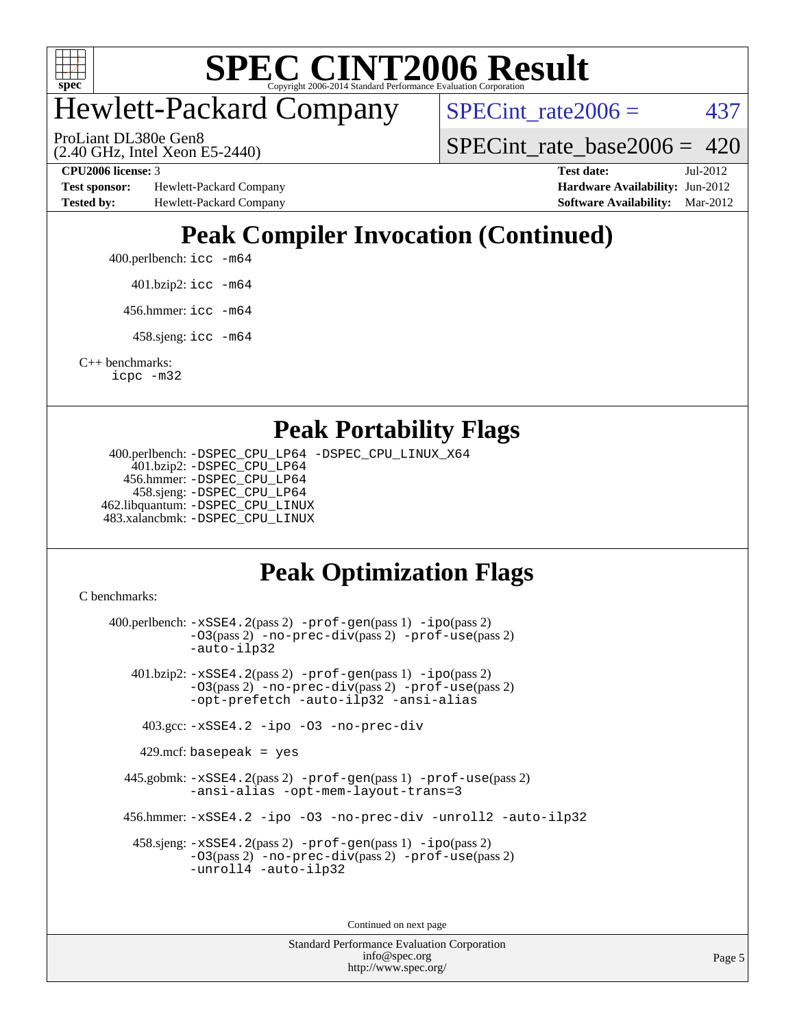

# Hewlett-Packard Company

(2.40 GHz, Intel Xeon E5-2440) ProLiant DL380e Gen8

 $SPECTnt_rate2006 = 437$ 

SPECint rate base2006 =  $420$ 

**[Test sponsor:](http://www.spec.org/auto/cpu2006/Docs/result-fields.html#Testsponsor)** Hewlett-Packard Company **[Hardware Availability:](http://www.spec.org/auto/cpu2006/Docs/result-fields.html#HardwareAvailability)** Jun-2012 **[Tested by:](http://www.spec.org/auto/cpu2006/Docs/result-fields.html#Testedby)** Hewlett-Packard Company **[Software Availability:](http://www.spec.org/auto/cpu2006/Docs/result-fields.html#SoftwareAvailability)** Mar-2012

**[CPU2006 license:](http://www.spec.org/auto/cpu2006/Docs/result-fields.html#CPU2006license)** 3 **[Test date:](http://www.spec.org/auto/cpu2006/Docs/result-fields.html#Testdate)** Jul-2012

### **[Peak Compiler Invocation \(Continued\)](http://www.spec.org/auto/cpu2006/Docs/result-fields.html#PeakCompilerInvocation)**

- 400.perlbench: [icc -m64](http://www.spec.org/cpu2006/results/res2012q3/cpu2006-20120730-23958.flags.html#user_peakCCLD400_perlbench_intel_icc_64bit_bda6cc9af1fdbb0edc3795bac97ada53)
	- 401.bzip2: [icc -m64](http://www.spec.org/cpu2006/results/res2012q3/cpu2006-20120730-23958.flags.html#user_peakCCLD401_bzip2_intel_icc_64bit_bda6cc9af1fdbb0edc3795bac97ada53)
	- 456.hmmer: [icc -m64](http://www.spec.org/cpu2006/results/res2012q3/cpu2006-20120730-23958.flags.html#user_peakCCLD456_hmmer_intel_icc_64bit_bda6cc9af1fdbb0edc3795bac97ada53)
	- 458.sjeng: [icc -m64](http://www.spec.org/cpu2006/results/res2012q3/cpu2006-20120730-23958.flags.html#user_peakCCLD458_sjeng_intel_icc_64bit_bda6cc9af1fdbb0edc3795bac97ada53)

[C++ benchmarks:](http://www.spec.org/auto/cpu2006/Docs/result-fields.html#CXXbenchmarks) [icpc -m32](http://www.spec.org/cpu2006/results/res2012q3/cpu2006-20120730-23958.flags.html#user_CXXpeak_intel_icpc_4e5a5ef1a53fd332b3c49e69c3330699)

#### **[Peak Portability Flags](http://www.spec.org/auto/cpu2006/Docs/result-fields.html#PeakPortabilityFlags)**

 400.perlbench: [-DSPEC\\_CPU\\_LP64](http://www.spec.org/cpu2006/results/res2012q3/cpu2006-20120730-23958.flags.html#b400.perlbench_peakCPORTABILITY_DSPEC_CPU_LP64) [-DSPEC\\_CPU\\_LINUX\\_X64](http://www.spec.org/cpu2006/results/res2012q3/cpu2006-20120730-23958.flags.html#b400.perlbench_peakCPORTABILITY_DSPEC_CPU_LINUX_X64) 401.bzip2: [-DSPEC\\_CPU\\_LP64](http://www.spec.org/cpu2006/results/res2012q3/cpu2006-20120730-23958.flags.html#suite_peakCPORTABILITY401_bzip2_DSPEC_CPU_LP64) 456.hmmer: [-DSPEC\\_CPU\\_LP64](http://www.spec.org/cpu2006/results/res2012q3/cpu2006-20120730-23958.flags.html#suite_peakCPORTABILITY456_hmmer_DSPEC_CPU_LP64) 458.sjeng: [-DSPEC\\_CPU\\_LP64](http://www.spec.org/cpu2006/results/res2012q3/cpu2006-20120730-23958.flags.html#suite_peakCPORTABILITY458_sjeng_DSPEC_CPU_LP64) 462.libquantum: [-DSPEC\\_CPU\\_LINUX](http://www.spec.org/cpu2006/results/res2012q3/cpu2006-20120730-23958.flags.html#b462.libquantum_peakCPORTABILITY_DSPEC_CPU_LINUX) 483.xalancbmk: [-DSPEC\\_CPU\\_LINUX](http://www.spec.org/cpu2006/results/res2012q3/cpu2006-20120730-23958.flags.html#b483.xalancbmk_peakCXXPORTABILITY_DSPEC_CPU_LINUX)

### **[Peak Optimization Flags](http://www.spec.org/auto/cpu2006/Docs/result-fields.html#PeakOptimizationFlags)**

[C benchmarks](http://www.spec.org/auto/cpu2006/Docs/result-fields.html#Cbenchmarks):

 400.perlbench: [-xSSE4.2](http://www.spec.org/cpu2006/results/res2012q3/cpu2006-20120730-23958.flags.html#user_peakPASS2_CFLAGSPASS2_LDCFLAGS400_perlbench_f-xSSE42_f91528193cf0b216347adb8b939d4107)(pass 2) [-prof-gen](http://www.spec.org/cpu2006/results/res2012q3/cpu2006-20120730-23958.flags.html#user_peakPASS1_CFLAGSPASS1_LDCFLAGS400_perlbench_prof_gen_e43856698f6ca7b7e442dfd80e94a8fc)(pass 1) [-ipo](http://www.spec.org/cpu2006/results/res2012q3/cpu2006-20120730-23958.flags.html#user_peakPASS2_CFLAGSPASS2_LDCFLAGS400_perlbench_f-ipo)(pass 2) [-O3](http://www.spec.org/cpu2006/results/res2012q3/cpu2006-20120730-23958.flags.html#user_peakPASS2_CFLAGSPASS2_LDCFLAGS400_perlbench_f-O3)(pass 2) [-no-prec-div](http://www.spec.org/cpu2006/results/res2012q3/cpu2006-20120730-23958.flags.html#user_peakPASS2_CFLAGSPASS2_LDCFLAGS400_perlbench_f-no-prec-div)(pass 2) [-prof-use](http://www.spec.org/cpu2006/results/res2012q3/cpu2006-20120730-23958.flags.html#user_peakPASS2_CFLAGSPASS2_LDCFLAGS400_perlbench_prof_use_bccf7792157ff70d64e32fe3e1250b55)(pass 2) [-auto-ilp32](http://www.spec.org/cpu2006/results/res2012q3/cpu2006-20120730-23958.flags.html#user_peakCOPTIMIZE400_perlbench_f-auto-ilp32) 401.bzip2: [-xSSE4.2](http://www.spec.org/cpu2006/results/res2012q3/cpu2006-20120730-23958.flags.html#user_peakPASS2_CFLAGSPASS2_LDCFLAGS401_bzip2_f-xSSE42_f91528193cf0b216347adb8b939d4107)(pass 2) [-prof-gen](http://www.spec.org/cpu2006/results/res2012q3/cpu2006-20120730-23958.flags.html#user_peakPASS1_CFLAGSPASS1_LDCFLAGS401_bzip2_prof_gen_e43856698f6ca7b7e442dfd80e94a8fc)(pass 1) [-ipo](http://www.spec.org/cpu2006/results/res2012q3/cpu2006-20120730-23958.flags.html#user_peakPASS2_CFLAGSPASS2_LDCFLAGS401_bzip2_f-ipo)(pass 2) [-O3](http://www.spec.org/cpu2006/results/res2012q3/cpu2006-20120730-23958.flags.html#user_peakPASS2_CFLAGSPASS2_LDCFLAGS401_bzip2_f-O3)(pass 2) [-no-prec-div](http://www.spec.org/cpu2006/results/res2012q3/cpu2006-20120730-23958.flags.html#user_peakPASS2_CFLAGSPASS2_LDCFLAGS401_bzip2_f-no-prec-div)(pass 2) [-prof-use](http://www.spec.org/cpu2006/results/res2012q3/cpu2006-20120730-23958.flags.html#user_peakPASS2_CFLAGSPASS2_LDCFLAGS401_bzip2_prof_use_bccf7792157ff70d64e32fe3e1250b55)(pass 2) [-opt-prefetch](http://www.spec.org/cpu2006/results/res2012q3/cpu2006-20120730-23958.flags.html#user_peakCOPTIMIZE401_bzip2_f-opt-prefetch) [-auto-ilp32](http://www.spec.org/cpu2006/results/res2012q3/cpu2006-20120730-23958.flags.html#user_peakCOPTIMIZE401_bzip2_f-auto-ilp32) [-ansi-alias](http://www.spec.org/cpu2006/results/res2012q3/cpu2006-20120730-23958.flags.html#user_peakCOPTIMIZE401_bzip2_f-ansi-alias) 403.gcc: [-xSSE4.2](http://www.spec.org/cpu2006/results/res2012q3/cpu2006-20120730-23958.flags.html#user_peakCOPTIMIZE403_gcc_f-xSSE42_f91528193cf0b216347adb8b939d4107) [-ipo](http://www.spec.org/cpu2006/results/res2012q3/cpu2006-20120730-23958.flags.html#user_peakCOPTIMIZE403_gcc_f-ipo) [-O3](http://www.spec.org/cpu2006/results/res2012q3/cpu2006-20120730-23958.flags.html#user_peakCOPTIMIZE403_gcc_f-O3) [-no-prec-div](http://www.spec.org/cpu2006/results/res2012q3/cpu2006-20120730-23958.flags.html#user_peakCOPTIMIZE403_gcc_f-no-prec-div)  $429$ .mcf: basepeak = yes 445.gobmk: [-xSSE4.2](http://www.spec.org/cpu2006/results/res2012q3/cpu2006-20120730-23958.flags.html#user_peakPASS2_CFLAGSPASS2_LDCFLAGS445_gobmk_f-xSSE42_f91528193cf0b216347adb8b939d4107)(pass 2) [-prof-gen](http://www.spec.org/cpu2006/results/res2012q3/cpu2006-20120730-23958.flags.html#user_peakPASS1_CFLAGSPASS1_LDCFLAGS445_gobmk_prof_gen_e43856698f6ca7b7e442dfd80e94a8fc)(pass 1) [-prof-use](http://www.spec.org/cpu2006/results/res2012q3/cpu2006-20120730-23958.flags.html#user_peakPASS2_CFLAGSPASS2_LDCFLAGS445_gobmk_prof_use_bccf7792157ff70d64e32fe3e1250b55)(pass 2) [-ansi-alias](http://www.spec.org/cpu2006/results/res2012q3/cpu2006-20120730-23958.flags.html#user_peakCOPTIMIZE445_gobmk_f-ansi-alias) [-opt-mem-layout-trans=3](http://www.spec.org/cpu2006/results/res2012q3/cpu2006-20120730-23958.flags.html#user_peakCOPTIMIZE445_gobmk_f-opt-mem-layout-trans_a7b82ad4bd7abf52556d4961a2ae94d5) 456.hmmer: [-xSSE4.2](http://www.spec.org/cpu2006/results/res2012q3/cpu2006-20120730-23958.flags.html#user_peakCOPTIMIZE456_hmmer_f-xSSE42_f91528193cf0b216347adb8b939d4107) [-ipo](http://www.spec.org/cpu2006/results/res2012q3/cpu2006-20120730-23958.flags.html#user_peakCOPTIMIZE456_hmmer_f-ipo) [-O3](http://www.spec.org/cpu2006/results/res2012q3/cpu2006-20120730-23958.flags.html#user_peakCOPTIMIZE456_hmmer_f-O3) [-no-prec-div](http://www.spec.org/cpu2006/results/res2012q3/cpu2006-20120730-23958.flags.html#user_peakCOPTIMIZE456_hmmer_f-no-prec-div) [-unroll2](http://www.spec.org/cpu2006/results/res2012q3/cpu2006-20120730-23958.flags.html#user_peakCOPTIMIZE456_hmmer_f-unroll_784dae83bebfb236979b41d2422d7ec2) [-auto-ilp32](http://www.spec.org/cpu2006/results/res2012q3/cpu2006-20120730-23958.flags.html#user_peakCOPTIMIZE456_hmmer_f-auto-ilp32) 458.sjeng: [-xSSE4.2](http://www.spec.org/cpu2006/results/res2012q3/cpu2006-20120730-23958.flags.html#user_peakPASS2_CFLAGSPASS2_LDCFLAGS458_sjeng_f-xSSE42_f91528193cf0b216347adb8b939d4107)(pass 2) [-prof-gen](http://www.spec.org/cpu2006/results/res2012q3/cpu2006-20120730-23958.flags.html#user_peakPASS1_CFLAGSPASS1_LDCFLAGS458_sjeng_prof_gen_e43856698f6ca7b7e442dfd80e94a8fc)(pass 1) [-ipo](http://www.spec.org/cpu2006/results/res2012q3/cpu2006-20120730-23958.flags.html#user_peakPASS2_CFLAGSPASS2_LDCFLAGS458_sjeng_f-ipo)(pass 2) [-O3](http://www.spec.org/cpu2006/results/res2012q3/cpu2006-20120730-23958.flags.html#user_peakPASS2_CFLAGSPASS2_LDCFLAGS458_sjeng_f-O3)(pass 2) [-no-prec-div](http://www.spec.org/cpu2006/results/res2012q3/cpu2006-20120730-23958.flags.html#user_peakPASS2_CFLAGSPASS2_LDCFLAGS458_sjeng_f-no-prec-div)(pass 2) [-prof-use](http://www.spec.org/cpu2006/results/res2012q3/cpu2006-20120730-23958.flags.html#user_peakPASS2_CFLAGSPASS2_LDCFLAGS458_sjeng_prof_use_bccf7792157ff70d64e32fe3e1250b55)(pass 2) [-unroll4](http://www.spec.org/cpu2006/results/res2012q3/cpu2006-20120730-23958.flags.html#user_peakCOPTIMIZE458_sjeng_f-unroll_4e5e4ed65b7fd20bdcd365bec371b81f) [-auto-ilp32](http://www.spec.org/cpu2006/results/res2012q3/cpu2006-20120730-23958.flags.html#user_peakCOPTIMIZE458_sjeng_f-auto-ilp32) Continued on next page

> Standard Performance Evaluation Corporation [info@spec.org](mailto:info@spec.org) <http://www.spec.org/>